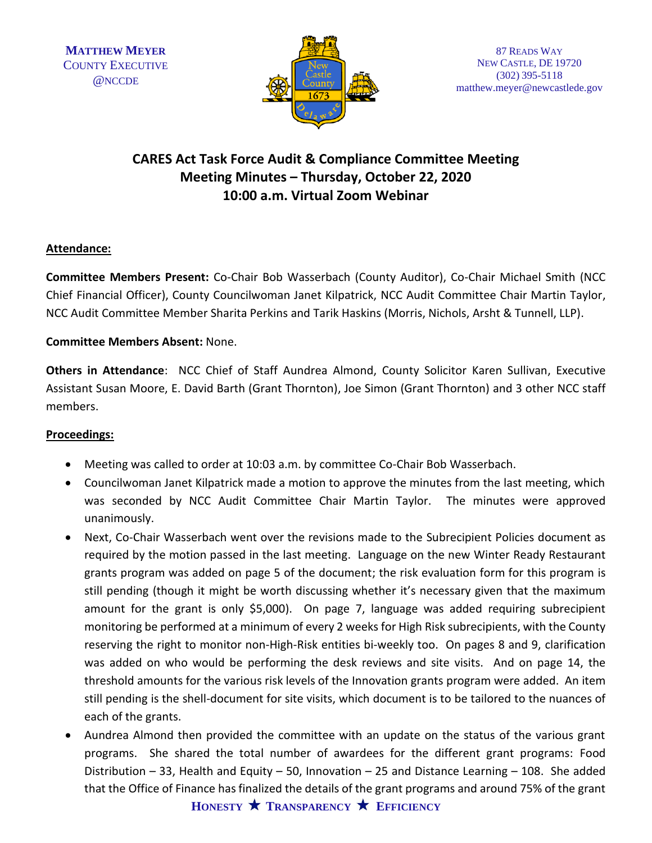

## **CARES Act Task Force Audit & Compliance Committee Meeting Meeting Minutes – Thursday, October 22, 2020 10:00 a.m. Virtual Zoom Webinar**

## **Attendance:**

**Committee Members Present:** Co-Chair Bob Wasserbach (County Auditor), Co-Chair Michael Smith (NCC Chief Financial Officer), County Councilwoman Janet Kilpatrick, NCC Audit Committee Chair Martin Taylor, NCC Audit Committee Member Sharita Perkins and Tarik Haskins (Morris, Nichols, Arsht & Tunnell, LLP).

## **Committee Members Absent:** None.

**Others in Attendance**: NCC Chief of Staff Aundrea Almond, County Solicitor Karen Sullivan, Executive Assistant Susan Moore, E. David Barth (Grant Thornton), Joe Simon (Grant Thornton) and 3 other NCC staff members.

## **Proceedings:**

- Meeting was called to order at 10:03 a.m. by committee Co-Chair Bob Wasserbach.
- Councilwoman Janet Kilpatrick made a motion to approve the minutes from the last meeting, which was seconded by NCC Audit Committee Chair Martin Taylor. The minutes were approved unanimously.
- Next, Co-Chair Wasserbach went over the revisions made to the Subrecipient Policies document as required by the motion passed in the last meeting. Language on the new Winter Ready Restaurant grants program was added on page 5 of the document; the risk evaluation form for this program is still pending (though it might be worth discussing whether it's necessary given that the maximum amount for the grant is only \$5,000). On page 7, language was added requiring subrecipient monitoring be performed at a minimum of every 2 weeks for High Risk subrecipients, with the County reserving the right to monitor non-High-Risk entities bi-weekly too. On pages 8 and 9, clarification was added on who would be performing the desk reviews and site visits. And on page 14, the threshold amounts for the various risk levels of the Innovation grants program were added. An item still pending is the shell-document for site visits, which document is to be tailored to the nuances of each of the grants.
- Aundrea Almond then provided the committee with an update on the status of the various grant programs. She shared the total number of awardees for the different grant programs: Food Distribution – 33, Health and Equity – 50, Innovation – 25 and Distance Learning – 108. She added that the Office of Finance has finalized the details of the grant programs and around 75% of the grant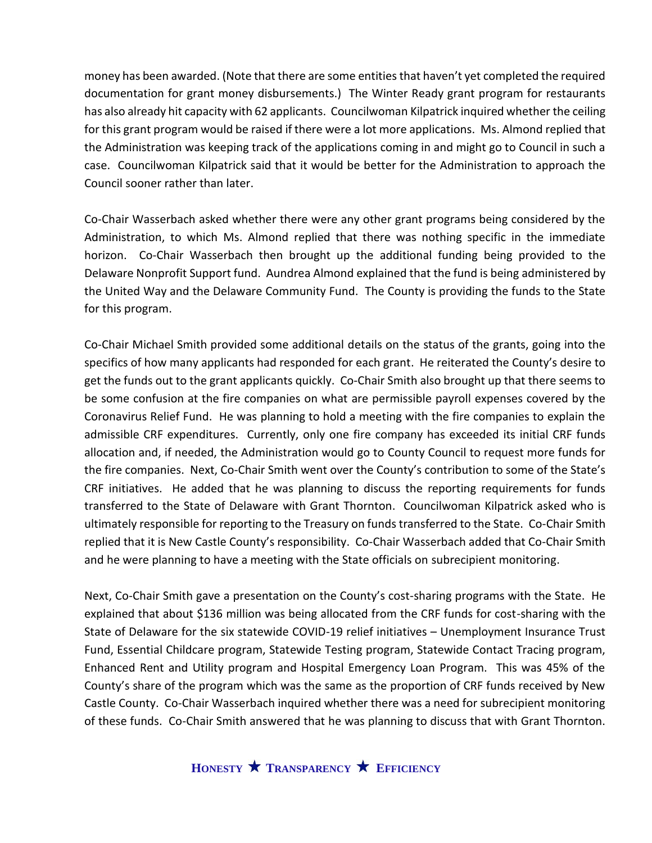money has been awarded. (Note that there are some entities that haven't yet completed the required documentation for grant money disbursements.) The Winter Ready grant program for restaurants has also already hit capacity with 62 applicants. Councilwoman Kilpatrick inquired whether the ceiling for this grant program would be raised if there were a lot more applications. Ms. Almond replied that the Administration was keeping track of the applications coming in and might go to Council in such a case. Councilwoman Kilpatrick said that it would be better for the Administration to approach the Council sooner rather than later.

Co-Chair Wasserbach asked whether there were any other grant programs being considered by the Administration, to which Ms. Almond replied that there was nothing specific in the immediate horizon. Co-Chair Wasserbach then brought up the additional funding being provided to the Delaware Nonprofit Support fund. Aundrea Almond explained that the fund is being administered by the United Way and the Delaware Community Fund. The County is providing the funds to the State for this program.

Co-Chair Michael Smith provided some additional details on the status of the grants, going into the specifics of how many applicants had responded for each grant. He reiterated the County's desire to get the funds out to the grant applicants quickly. Co-Chair Smith also brought up that there seems to be some confusion at the fire companies on what are permissible payroll expenses covered by the Coronavirus Relief Fund. He was planning to hold a meeting with the fire companies to explain the admissible CRF expenditures. Currently, only one fire company has exceeded its initial CRF funds allocation and, if needed, the Administration would go to County Council to request more funds for the fire companies. Next, Co-Chair Smith went over the County's contribution to some of the State's CRF initiatives. He added that he was planning to discuss the reporting requirements for funds transferred to the State of Delaware with Grant Thornton. Councilwoman Kilpatrick asked who is ultimately responsible for reporting to the Treasury on funds transferred to the State. Co-Chair Smith replied that it is New Castle County's responsibility. Co-Chair Wasserbach added that Co-Chair Smith and he were planning to have a meeting with the State officials on subrecipient monitoring.

Next, Co-Chair Smith gave a presentation on the County's cost-sharing programs with the State. He explained that about \$136 million was being allocated from the CRF funds for cost-sharing with the State of Delaware for the six statewide COVID-19 relief initiatives – Unemployment Insurance Trust Fund, Essential Childcare program, Statewide Testing program, Statewide Contact Tracing program, Enhanced Rent and Utility program and Hospital Emergency Loan Program. This was 45% of the County's share of the program which was the same as the proportion of CRF funds received by New Castle County. Co-Chair Wasserbach inquired whether there was a need for subrecipient monitoring of these funds. Co-Chair Smith answered that he was planning to discuss that with Grant Thornton.

**HONESTY TRANSPARENCY EFFICIENCY**